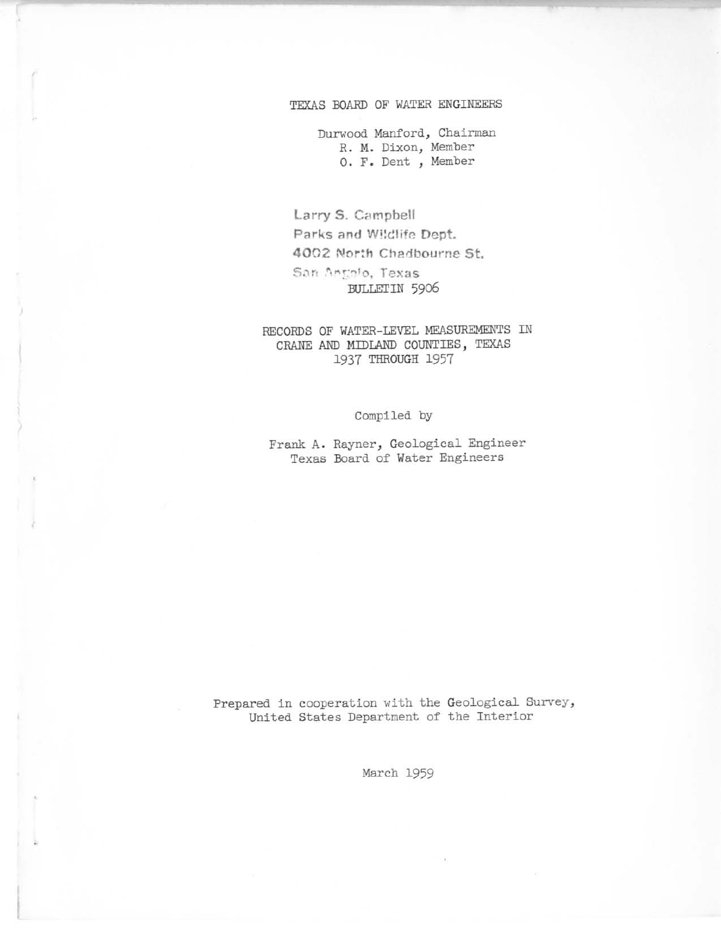### TEXAS BOARD OF WATER ENGINEERS

**Durwood Manford <sup>J</sup> Chairman R. M. Dixon, Member O. F. Dent <sup>I</sup> Member**

Lorry S. Cempbell **Parks** and Wildlife Dept. 4002 North Chadbourne St.  $San$  Angelo, Texas BULLETIN 5906

RECORDS OF WATER-LEVEL MEASUREMENTS IN CRANE AND MIDLAND COUNTIES, TEXAS 1937 THROUGH 1957

**Compiled by**

**Frank A. Rayner, Geological Engineer Texas Board of Water Engineers**

**Prepared in cooperation with the Geological Survey, United States Department of the Interior**

March 1959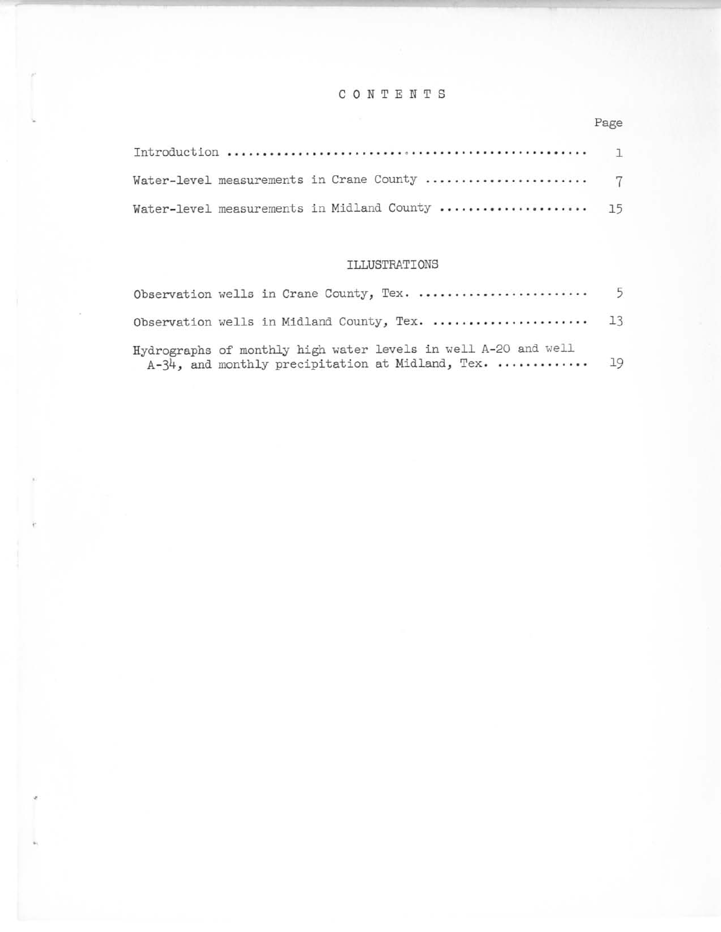## CONTENTS

### Page

| Water-level measurements in Midland County  15 |  |
|------------------------------------------------|--|

### ILLUSTRATIONS

| Observation wells in Crane County, Tex.                                                                                   | 5 |
|---------------------------------------------------------------------------------------------------------------------------|---|
| Observation wells in Midland County, Tex.  13                                                                             |   |
| Hydrographs of monthly high water levels in well A-20 and well<br>$A-34$ , and monthly precipitation at Midland, Tex.  19 |   |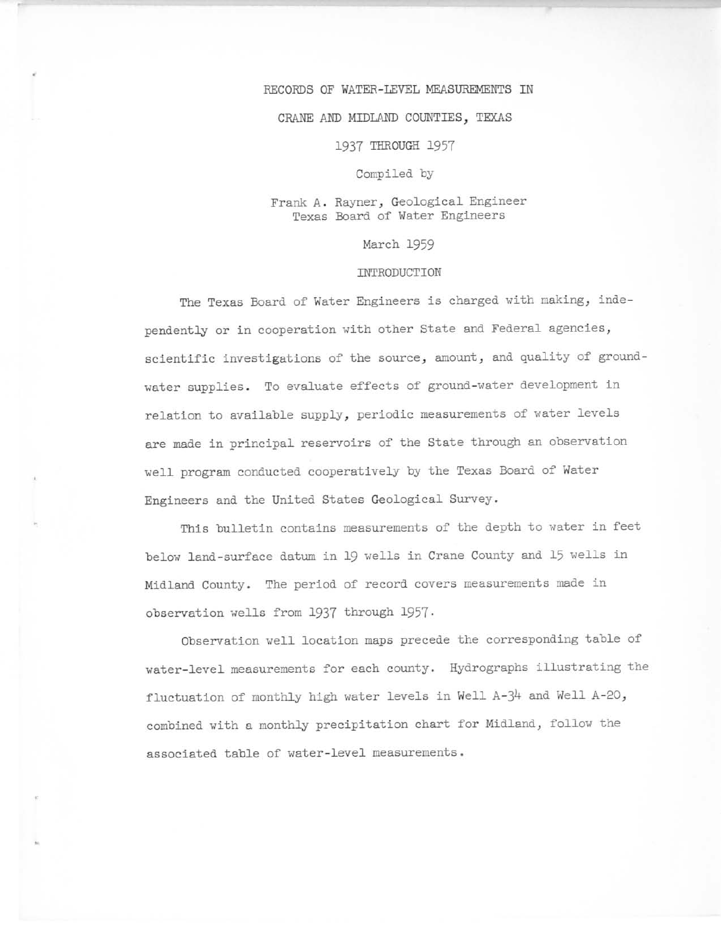#### RECORDS OF WATER-LEVEL MEASUREMENTS IN

#### CRANE AND MIDLAND COUNTIES, TEXAS

#### 1937 THROUGH 1957

#### Compiled by

### Frank A. Rayner, Geological Engineer Texas Board of Water Engineers

#### March 1959

#### INTRODUCTION

The Texas Board of Water Engineers is charged with making, independently or in cooperation with other State and Federal agencies, scientific investigations of the source, amount, and quality of groundwater supplies. To evaluate effects of ground-water development in relation to available supply, periodic measurements of water levels are made in principal reservoirs of the State through an observation well program conducted cooperatively by the Texas Board of Water Engineers and the United States Geological Survey.

This bulletin contains measurements of the depth to water in feet below land-surface datum in 19 wells in Crane County and 15 wells in Midland County. The period of record covers measurements made in observation wells from 1937 through 1957.

Observation well location maps precede the corresponding table of water-level measurements for each county. Hydrographs illustrating the fluctuation of monthly high water levels in Well A-34 and Well A-20, combined with a monthly precipitation chart for Midland, follow the associated table of water-level measurements.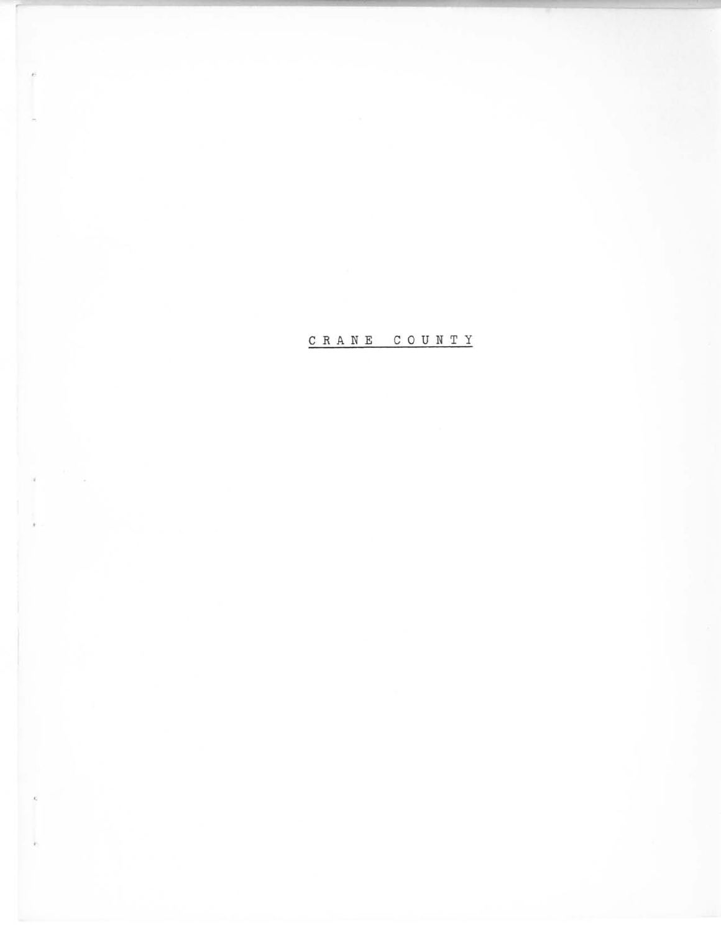CRANE COUNTY

•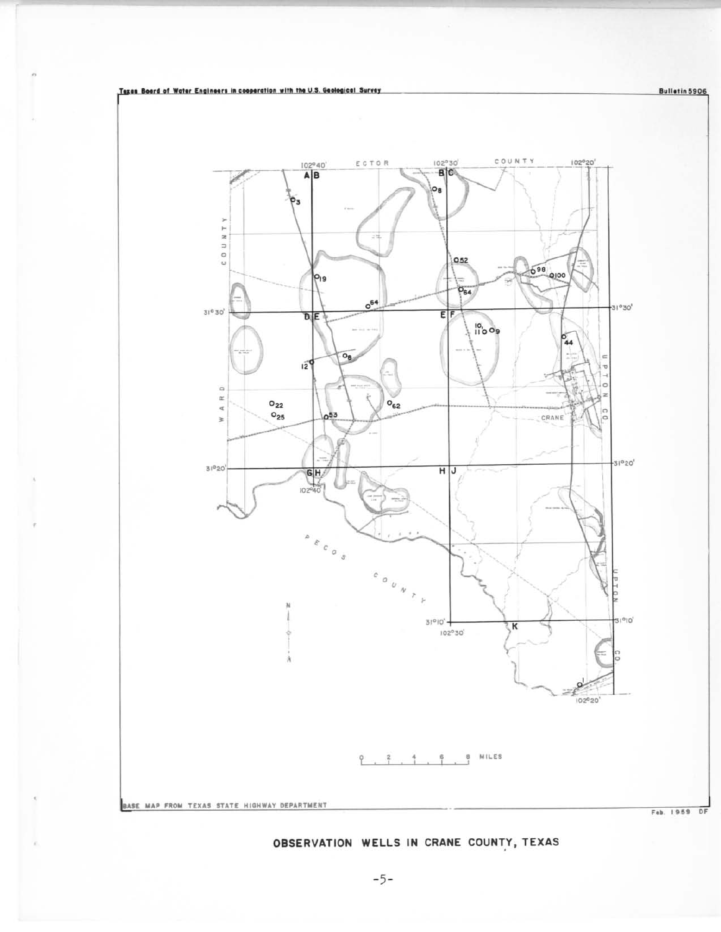Bulletin 5906



# OBSERVATION WELLS IN CRANE COUNTY, TEXAS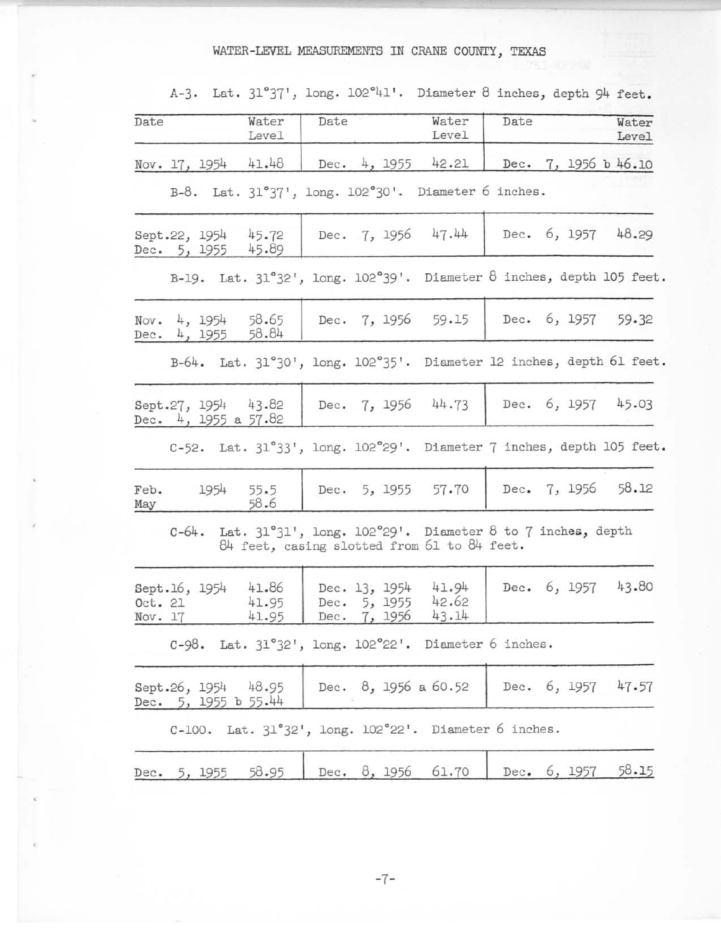# WATER-LEVEL MEASUREMENTS IN CRANE COUNrY, TEXAS

| Date               |                              | Water<br>Level                                  | Date |                                          | Water<br>Level                                                                                                          | Date |  | Water<br>Level       |
|--------------------|------------------------------|-------------------------------------------------|------|------------------------------------------|-------------------------------------------------------------------------------------------------------------------------|------|--|----------------------|
|                    | Nov. 17, 1954                | 41.48                                           |      |                                          | Dec. 4, 1955 42.21                                                                                                      |      |  | Dec. 7, 1956 b 46.10 |
|                    |                              |                                                 |      |                                          | B-8. Lat. 31°37', long. 102°30'. Diameter 6 inches.                                                                     |      |  |                      |
|                    | Dec. 5, 1955                 | Sept.22, 1954 45.72<br>45.89                    |      |                                          | Dec. 7, 1956 47.44                                                                                                      |      |  | Dec. 6, 1957 48.29   |
|                    |                              |                                                 |      |                                          | B-19. Lat. 31°32', long. 102°39'. Diameter 8 inches, depth 105 feet.                                                    |      |  |                      |
|                    | Nov. 4, 1954<br>Dec. 4, 1955 | 58.65<br>58.84                                  |      |                                          | Dec. 7, 1956 59.15                                                                                                      |      |  | Dec. 6, 1957 59.32   |
|                    |                              |                                                 |      |                                          | B-64. Lat. 31°30', long. 102°35'. Diameter 12 inches, depth 61 feet.                                                    |      |  |                      |
|                    |                              | Sept.27, 1954 43.82<br>Dec. $4, 1955$ a $57.82$ |      |                                          | Dec. 7, 1956 44.73                                                                                                      |      |  | Dec. 6, 1957 45.03   |
|                    |                              |                                                 |      |                                          | C-52. Lat. 31°33', long. 102°29'. Diameter 7 inches, depth 105 feet.                                                    |      |  |                      |
| May                | Feb. 1954                    | 55.5<br>58.6                                    |      |                                          | Dec. 5, 1955 57.70                                                                                                      |      |  | Dec. 7, 1956 58.12   |
|                    |                              |                                                 |      |                                          | $C-64$ . Lat. $31°31'$ , long. $102°29'$ . Diameter 8 to 7 inches, depth<br>84 feet, casing slotted from 61 to 84 feet. |      |  |                      |
| Oct. 21<br>Nov. 17 | Sept.16, 1954                | 41.86<br>41.95<br>41.95                         | Dec. | Dec. 13, 1954<br>5, 1955<br>Dec. 7, 1956 | 41.94<br>42.62<br>43.14                                                                                                 |      |  | Dec. 6, 1957 43.80   |
|                    |                              |                                                 |      |                                          | C-98. Lat. 31°32', long. 102°22'. Diameter 6 inches.                                                                    |      |  |                      |
|                    |                              | Sept.26, 1954 48.95<br>Dec. $5, 1955 b 55.44$   |      |                                          | Dec. 8, 1956 a 60.52                                                                                                    |      |  | Dec. 6, 1957 47.57   |
|                    |                              |                                                 |      |                                          | C-100. Lat. 31°32', long. 102°22'. Diameter 6 inches.                                                                   |      |  |                      |
|                    | Dec. 5, 1955                 | 58.95                                           |      |                                          | Dec. 8, 1956 61.70                                                                                                      |      |  | Dec. 6, 1957 58.15   |

A-3· Lat. **31"37', long. 102°41'. Diameter 8 inches,** depth 94 **feet.**

-7-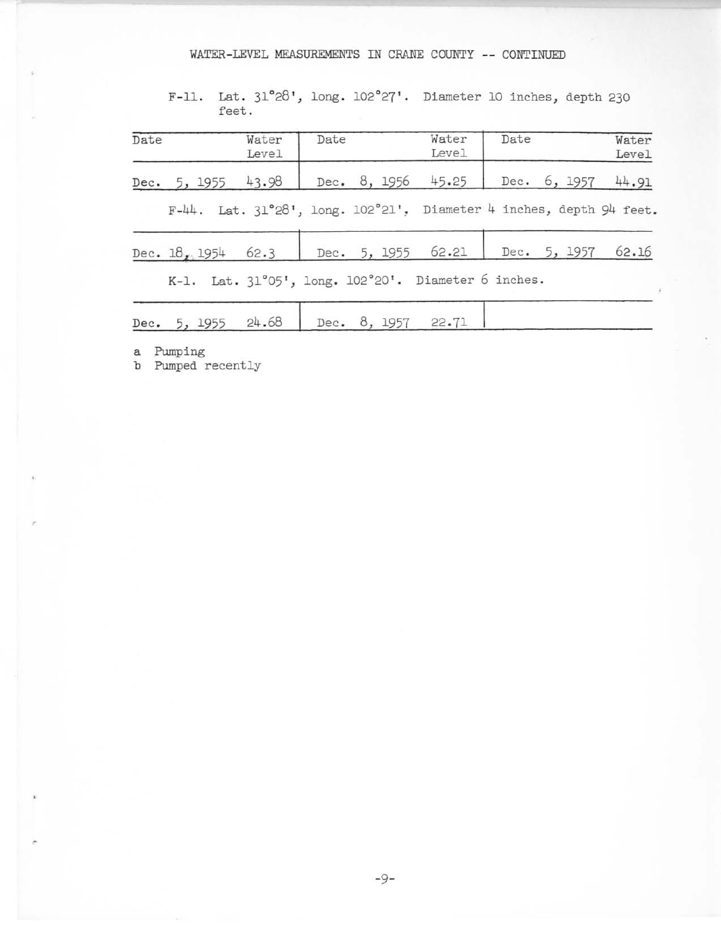## WATER-LEVEL MEASUREMENTS IN CRANE COUNTY -- CONTINUED

F-il. Lat. **31"28 <sup>1</sup> , long. 102"27' . Diameter <sup>10</sup> inches,** depth 230 **feet.**

| Date |  | Water<br>Level       | Date |  | Water<br>Level                                                      | Date | Water<br>Level |
|------|--|----------------------|------|--|---------------------------------------------------------------------|------|----------------|
|      |  | Dec. 5, 1955 $43.98$ |      |  | Dec. 8, 1956 45.25 Dec. 6, 1957                                     |      | 44.91          |
|      |  |                      |      |  | F-44. Lat. 31°28', long. 102°21', Diameter 4 inches, depth 94 feet. |      |                |
|      |  |                      |      |  | Dec. 18, 1954 62.3 Dec. 5, 1955 62.21 Dec. 5, 1957 62.16            |      |                |
|      |  |                      |      |  | K-1. Lat. 31°05', long. 102°20'. Diameter 6 inches.                 |      |                |
|      |  | Dec. 5, 1955 $24.68$ |      |  | Dec. 8, 1957 22.71                                                  |      |                |

**a Pumping**

**b Pumped recently**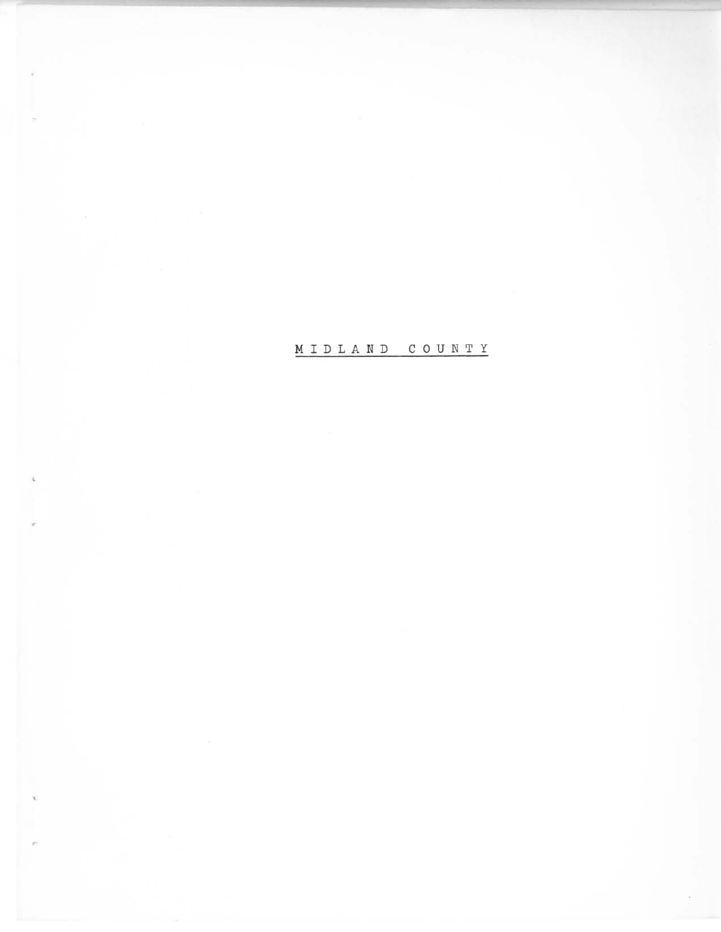MIDLAND COUNTY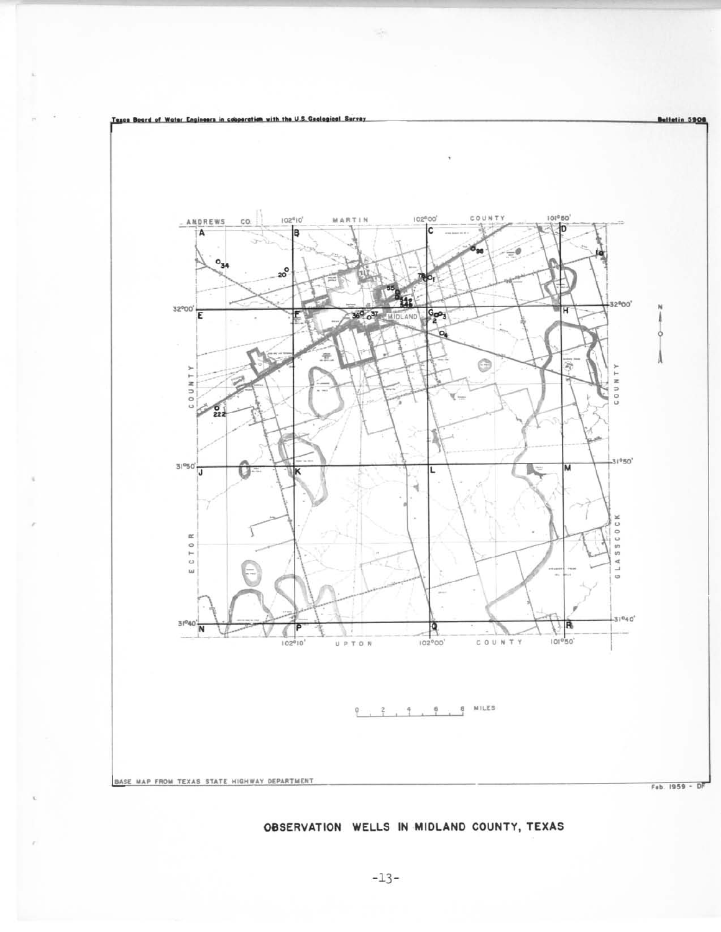

# OBSERVATION WELLS IN MIDLAND COUNTY, TEXAS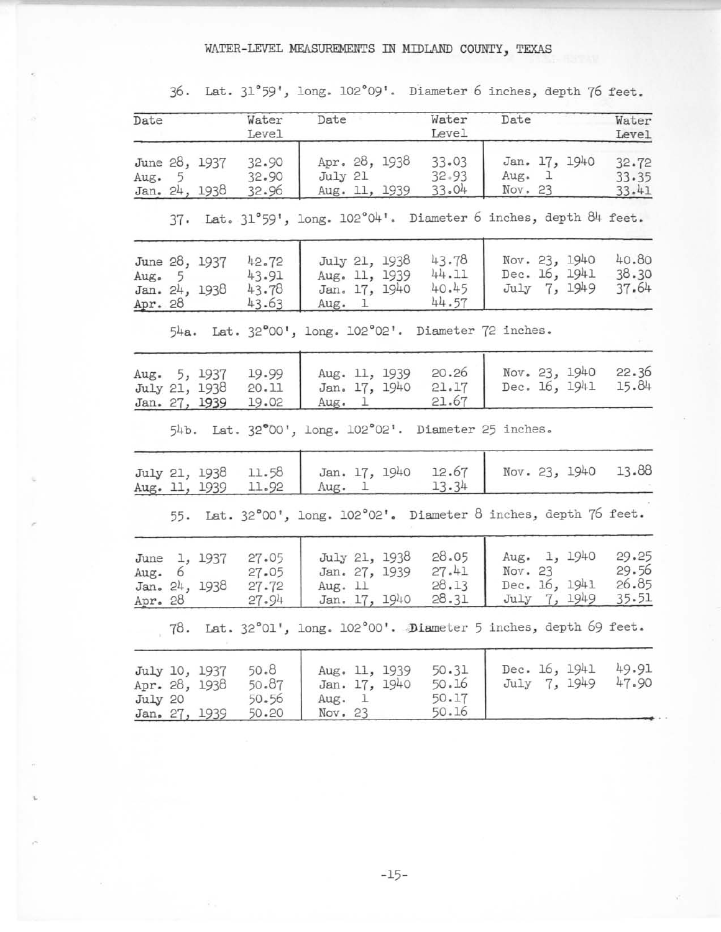# WATER-LEVEL MEASUREMENTS IN MIDLAND COUNTY, TEXAS

| Date                |   |                                                 | Water<br>Level                   | Date                                                       | Water<br>Level                   | Date                                                              | Water<br>Level                   |
|---------------------|---|-------------------------------------------------|----------------------------------|------------------------------------------------------------|----------------------------------|-------------------------------------------------------------------|----------------------------------|
| Aug. $5$            |   | June 28, 1937<br>Jan. 24, 1938                  | 32.90<br>32.90<br>32.96          | Apr. 28, 1938<br>July 21<br>Aug. 11, 1939                  | 33.03<br>32.93<br>33.04          | Jan. 17, 1940<br>Aug. 1<br>Nov. 23                                | 32.72<br>33.35<br>33.41          |
|                     |   |                                                 |                                  |                                                            |                                  | 37. Lat. 31°59', long. 102°04'. Diameter 6 inches, depth 84 feet. |                                  |
| Aug. $5$<br>Apr. 28 |   | June 28, 1937<br>Jan. 24, 1938                  | 42.72<br>43.91<br>43.78<br>43.63 | July 21, 1938<br>Aug. 11, 1939<br>Jan. 17, 1940<br>Aug. 1  | 43.78<br>44.11<br>40.45<br>44.57 | Nov. 23, 1940<br>Dec. 16, 1941<br>July 7, 1949                    | 40.80<br>38.30<br>37.64          |
|                     |   |                                                 |                                  | 54a. Lat. 32°00', long. 102°02'. Diameter 72 inches.       |                                  |                                                                   |                                  |
|                     |   | Aug. 5, 1937<br>July 21, 1938<br>Jan. 27, 1939  | 19.99<br>20.11<br>19.02          | Aug. 11, 1939<br>Jan. 17, 1940<br>Aug. 1                   | 20.26<br>21.17<br>21.67          | Nov. 23, 1940<br>Dec. 16, 1941                                    | 22.36<br>15.84                   |
|                     |   |                                                 |                                  | 54b. Lat. 32°00', long. 102°02'. Diameter 25 inches.       |                                  |                                                                   |                                  |
|                     |   | July 21, 1938<br>Aug. 11, 1939                  | 11.58<br>11.92                   | Jan. 17, 1940<br>Aug. $1$                                  | 12.67<br>13.34                   | Nov. 23, 1940                                                     | 13.88                            |
|                     |   |                                                 |                                  |                                                            |                                  | 55. Lat. 32°00', long. 102°02'. Diameter 8 inches, depth 76 feet. |                                  |
| Aug.<br>Apr. $28$   | 6 | June 1, 1937<br>Jan. 24, 1938                   | 27.05<br>27.05<br>27.72<br>27.94 | July 21, 1938<br>Jan. 27, 1939<br>Aug. 11<br>Jan. 17, 1940 | 28.05<br>27.41<br>28.13<br>28.31 | Aug. 1, 1940<br>Nov. 23<br>Dec. 16, 1941<br>July 7, 1949          | 29.25<br>29.56<br>26.85<br>35.51 |
|                     |   |                                                 |                                  |                                                            |                                  | 78. Lat. 32°01', long. 102°00'. Diameter 5 inches, depth 69 feet. |                                  |
| July 20             |   | July 10, 1937<br>Apr. 28, 1938<br>Jan. 27, 1939 | 50.8<br>50.87<br>50.56<br>50.20  | Aug. 11, 1939<br>Jan. 17, 1940<br>Aug. 1<br>Nov. 23        | 50.31<br>50.16<br>50.17<br>50.16 | Dec. 16, 1941<br>July 7, 1949                                     | 49.91<br>47.90                   |

36· Lat. **31°59', long. 102°09'. Diameter 6 inches,** depth 76 feet.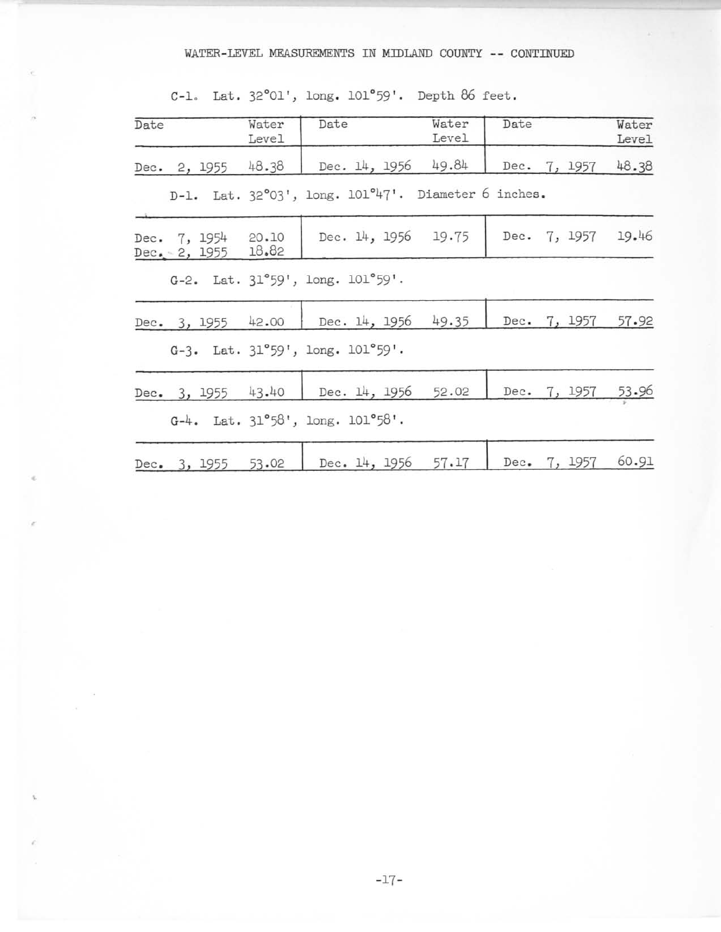## WATER-LEVEL MEASUREMENTS IN MIDLAND COUNTY -- CONTINUED

C-l. Lat. **32°01',** long. 101"59'. Depth 86 **feet.**

| Date |                                  | Water<br>Level | Date                                                    | Water<br>Level | Date |              | Water<br>Level |
|------|----------------------------------|----------------|---------------------------------------------------------|----------------|------|--------------|----------------|
|      | Dec. 2, 1955                     | 48.38          | Dec. 14, 1956                                           | 49.84          |      | Dec. 7, 1957 | 48.38          |
|      |                                  |                | D-1. Lat. 32°03', long. 101°47'. Diameter 6 inches.     |                |      |              |                |
|      | Dec. 7, 1954<br>Dec. $-2$ , 1955 | 20.10<br>18.82 | Dec. 14, 1956 19.75                                     |                |      | Dec. 7, 1957 | 19.46          |
|      |                                  |                | G-2. Lat. $31^{\circ}59'$ , long. $101^{\circ}59'$ .    |                |      |              |                |
|      | Dec. 3, 1955                     | 42.00          | Dec. 14, 1956                                           | 49.35          | Dec. | 7, 1957      | 57.92          |
|      |                                  |                | G-3. Lat. $31°59'$ , long. $101°59'$ .                  |                |      |              |                |
|      | Dec. 3, 1955                     | 43.40          | Dec. 14, 1956                                           | 52.02          |      | Dec. 7, 1957 | 53.96          |
|      |                                  |                | $G-4$ . Lat. $31^{\circ}58'$ , long. $101^{\circ}58'$ . |                |      |              |                |
|      | Dec. 3, 1955                     | 53.02          | Dec. 14, 1956                                           | 57.17          | Dec. | 7, 1957      | 60.91          |

-17-

,